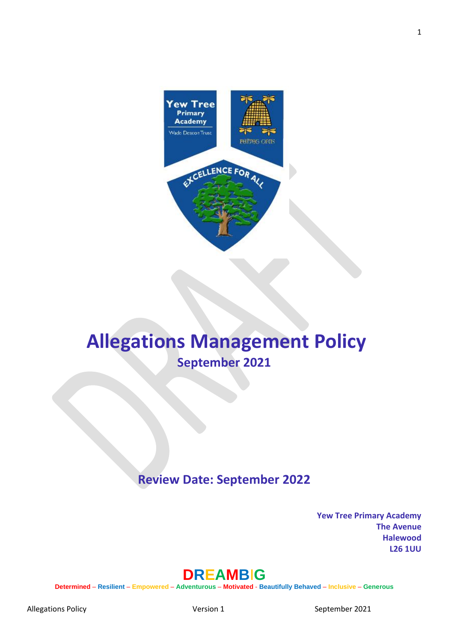

# **Allegations Management Policy September 2021**

## **Review Date: September 2022**

**Yew Tree Primary Academy The Avenue Halewood L26 1UU** 

## **DREAMB**I**G**

**Determined** – **Resilient** – **Empowered** – **Adventurous** – **Motivated** - **Beautifully Behaved** – **Inclusive** – **Generous**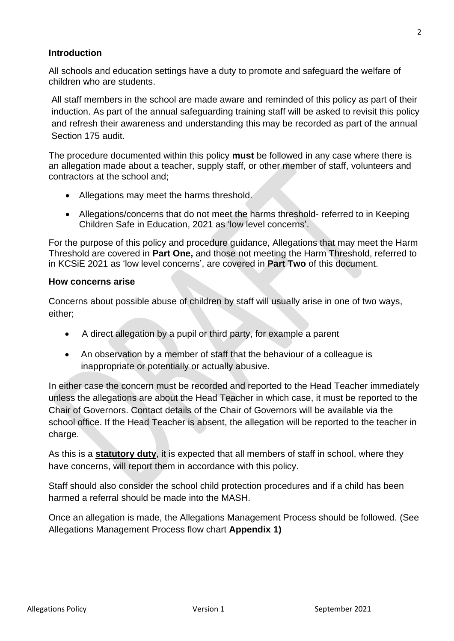#### **Introduction**

All schools and education settings have a duty to promote and safeguard the welfare of children who are students.

All staff members in the school are made aware and reminded of this policy as part of their induction. As part of the annual safeguarding training staff will be asked to revisit this policy and refresh their awareness and understanding this may be recorded as part of the annual Section 175 audit.

The procedure documented within this policy **must** be followed in any case where there is an allegation made about a teacher, supply staff, or other member of staff, volunteers and contractors at the school and;

- Allegations may meet the harms threshold.
- Allegations/concerns that do not meet the harms threshold- referred to in Keeping Children Safe in Education, 2021 as 'low level concerns'.

For the purpose of this policy and procedure guidance, Allegations that may meet the Harm Threshold are covered in **Part One,** and those not meeting the Harm Threshold, referred to in KCSiE 2021 as 'low level concerns', are covered in **Part Two** of this document.

#### **How concerns arise**

Concerns about possible abuse of children by staff will usually arise in one of two ways, either;

- A direct allegation by a pupil or third party, for example a parent
- An observation by a member of staff that the behaviour of a colleague is inappropriate or potentially or actually abusive.

In either case the concern must be recorded and reported to the Head Teacher immediately unless the allegations are about the Head Teacher in which case, it must be reported to the Chair of Governors. Contact details of the Chair of Governors will be available via the school office. If the Head Teacher is absent, the allegation will be reported to the teacher in charge.

As this is a **statutory duty**, it is expected that all members of staff in school, where they have concerns, will report them in accordance with this policy.

Staff should also consider the school child protection procedures and if a child has been harmed a referral should be made into the MASH.

Once an allegation is made, the Allegations Management Process should be followed. (See Allegations Management Process flow chart **Appendix 1)**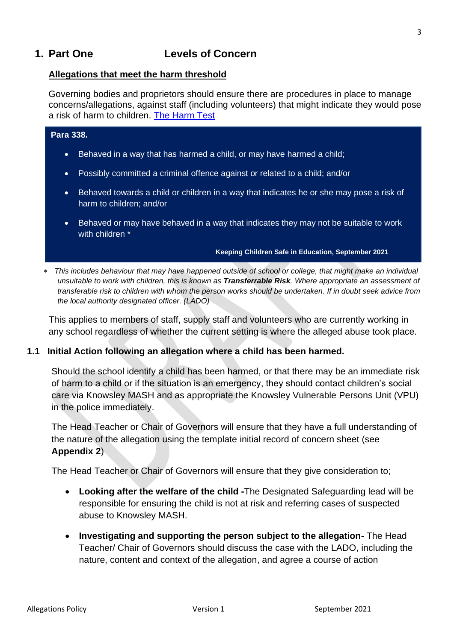## **1. Part One Levels of Concern**

#### **Allegations that meet the harm threshold**

Governing bodies and proprietors should ensure there are procedures in place to manage concerns/allegations, against staff (including volunteers) that might indicate they would pose a risk of harm to children. [The Harm Test](https://www.gov.uk/guidance/making-barring-referrals-to-the-dbs#what-is-the-harm-test)

## **Para 338.** • Behaved in a way that has harmed a child, or may have harmed a child; • Possibly committed a criminal offence against or related to a child; and/or • Behaved towards a child or children in a way that indicates he or she may pose a risk of harm to children; and/or • Behaved or may have behaved in a way that indicates they may not be suitable to work

with children \*

#### **Keeping Children Safe in Education, September 2021**

 *This includes behaviour that may have happened outside of school or college, that might make an individual unsuitable to work with children, this is known as Transferrable Risk. Where appropriate an assessment of transferable risk to children with whom the person works should be undertaken. If in doubt seek advice from the local authority designated officer. (LADO)*

This applies to members of staff, supply staff and volunteers who are currently working in any school regardless of whether the current setting is where the alleged abuse took place.

#### **1.1 Initial Action following an allegation where a child has been harmed.**

Should the school identify a child has been harmed, or that there may be an immediate risk of harm to a child or if the situation is an emergency, they should contact children's social care via Knowsley MASH and as appropriate the Knowsley Vulnerable Persons Unit (VPU) in the police immediately.

The Head Teacher or Chair of Governors will ensure that they have a full understanding of the nature of the allegation using the template initial record of concern sheet (see **Appendix 2**)

The Head Teacher or Chair of Governors will ensure that they give consideration to;

- **Looking after the welfare of the child -**The Designated Safeguarding lead will be responsible for ensuring the child is not at risk and referring cases of suspected abuse to Knowsley MASH.
- **Investigating and supporting the person subject to the allegation-** The Head Teacher/ Chair of Governors should discuss the case with the LADO, including the nature, content and context of the allegation, and agree a course of action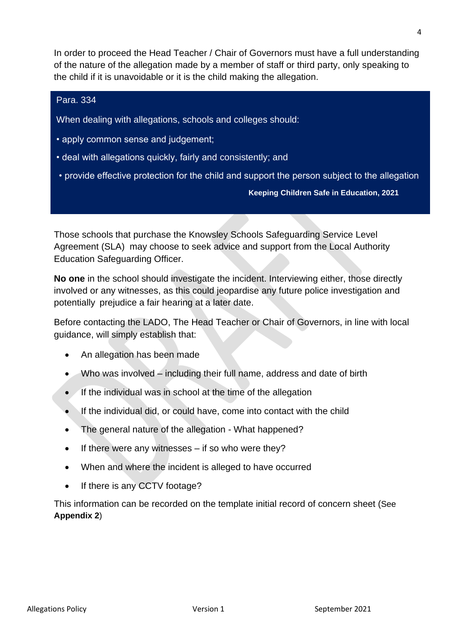In order to proceed the Head Teacher / Chair of Governors must have a full understanding of the nature of the allegation made by a member of staff or third party, only speaking to the child if it is unavoidable or it is the child making the allegation.

#### Para. 334

When dealing with allegations, schools and colleges should:

- apply common sense and judgement;
- deal with allegations quickly, fairly and consistently; and
- provide effective protection for the child and support the person subject to the allegation

#### **Keeping Children Safe in Education, 2021**

Those schools that purchase the Knowsley Schools Safeguarding Service Level Agreement (SLA) may choose to seek advice and support from the Local Authority Education Safeguarding Officer.

**No one** in the school should investigate the incident. Interviewing either, those directly involved or any witnesses, as this could jeopardise any future police investigation and potentially prejudice a fair hearing at a later date.

Before contacting the LADO, The Head Teacher or Chair of Governors, in line with local guidance, will simply establish that:

- An allegation has been made
- Who was involved including their full name, address and date of birth
- If the individual was in school at the time of the allegation
- If the individual did, or could have, come into contact with the child
- The general nature of the allegation What happened?
- If there were any witnesses if so who were they?
- When and where the incident is alleged to have occurred
- If there is any CCTV footage?

This information can be recorded on the template initial record of concern sheet (See **Appendix 2**)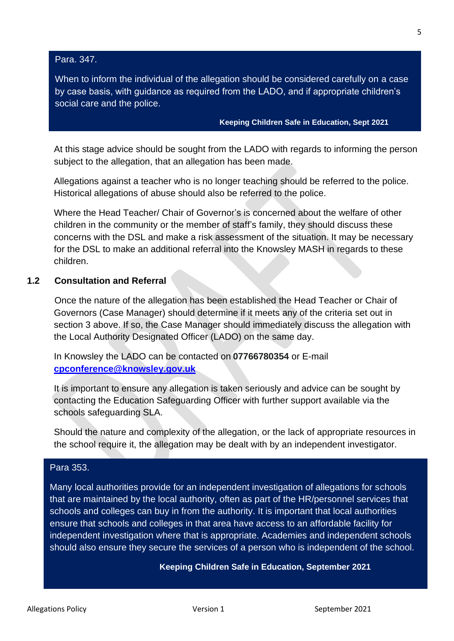Para. 347.

When to inform the individual of the allegation should be considered carefully on a case by case basis, with guidance as required from the LADO, and if appropriate children's social care and the police.

**Keeping Children Safe in Education, Sept 2021**

At this stage advice should be sought from the LADO with regards to informing the person subject to the allegation, that an allegation has been made.

Allegations against a teacher who is no longer teaching should be referred to the police. Historical allegations of abuse should also be referred to the police.

Where the Head Teacher/ Chair of Governor's is concerned about the welfare of other children in the community or the member of staff's family, they should discuss these concerns with the DSL and make a risk assessment of the situation. It may be necessary for the DSL to make an additional referral into the Knowsley MASH in regards to these children.

#### **1.2 Consultation and Referral**

Once the nature of the allegation has been established the Head Teacher or Chair of Governors (Case Manager) should determine if it meets any of the criteria set out in section 3 above. If so, the Case Manager should immediately discuss the allegation with the Local Authority Designated Officer (LADO) on the same day.

In Knowsley the LADO can be contacted on **07766780354** or E-mail **[cpconference@knowsley.gov.uk](mailto:cpconference@knowsley.gov.uk)**

It is important to ensure any allegation is taken seriously and advice can be sought by contacting the Education Safeguarding Officer with further support available via the schools safeguarding SLA.

Should the nature and complexity of the allegation, or the lack of appropriate resources in the school require it, the allegation may be dealt with by an independent investigator.

#### Para 353.

Many local authorities provide for an independent investigation of allegations for schools that are maintained by the local authority, often as part of the HR/personnel services that schools and colleges can buy in from the authority. It is important that local authorities ensure that schools and colleges in that area have access to an affordable facility for independent investigation where that is appropriate. Academies and independent schools should also ensure they secure the services of a person who is independent of the school.

#### **Keeping Children Safe in Education, September 2021**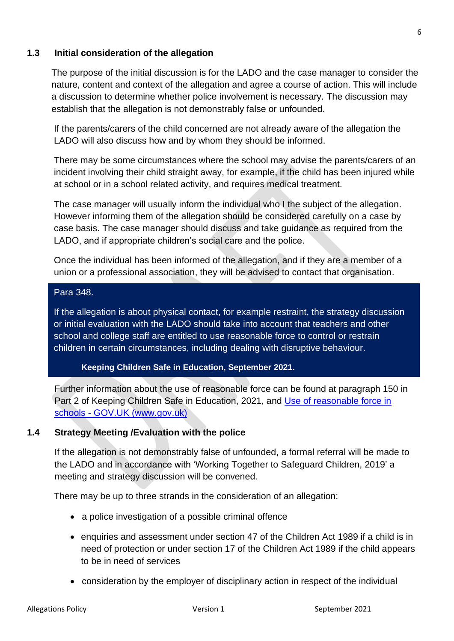## **1.3 Initial consideration of the allegation**

The purpose of the initial discussion is for the LADO and the case manager to consider the nature, content and context of the allegation and agree a course of action. This will include a discussion to determine whether police involvement is necessary. The discussion may establish that the allegation is not demonstrably false or unfounded.

If the parents/carers of the child concerned are not already aware of the allegation the LADO will also discuss how and by whom they should be informed.

There may be some circumstances where the school may advise the parents/carers of an incident involving their child straight away, for example, if the child has been injured while at school or in a school related activity, and requires medical treatment.

The case manager will usually inform the individual who I the subject of the allegation. However informing them of the allegation should be considered carefully on a case by case basis. The case manager should discuss and take guidance as required from the LADO, and if appropriate children's social care and the police.

Once the individual has been informed of the allegation, and if they are a member of a union or a professional association, they will be advised to contact that organisation.

#### Para 348.

If the allegation is about physical contact, for example restraint, the strategy discussion or initial evaluation with the LADO should take into account that teachers and other school and college staff are entitled to use reasonable force to control or restrain children in certain circumstances, including dealing with disruptive behaviour.

#### **Keeping Children Safe in Education, September 2021.**

Further information about the use of reasonable force can be found at paragraph 150 in Part 2 of Keeping Children Safe in Education, 2021, and [Use of reasonable force in](https://www.gov.uk/government/publications/use-of-reasonable-force-in-schools)  schools - [GOV.UK \(www.gov.uk\)](https://www.gov.uk/government/publications/use-of-reasonable-force-in-schools)

## **1.4 Strategy Meeting /Evaluation with the police**

If the allegation is not demonstrably false of unfounded, a formal referral will be made to the LADO and in accordance with 'Working Together to Safeguard Children, 2019' a meeting and strategy discussion will be convened.

There may be up to three strands in the consideration of an allegation:

- a police investigation of a possible criminal offence
- enquiries and assessment under section 47 of the Children Act 1989 if a child is in need of protection or under section 17 of the Children Act 1989 if the child appears to be in need of services
- consideration by the employer of disciplinary action in respect of the individual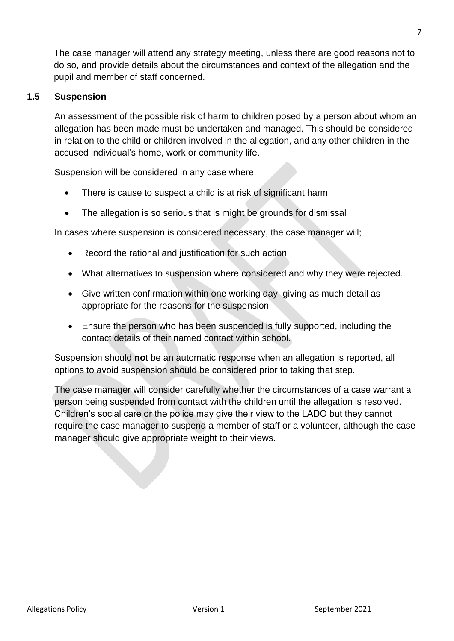The case manager will attend any strategy meeting, unless there are good reasons not to do so, and provide details about the circumstances and context of the allegation and the pupil and member of staff concerned.

## **1.5 Suspension**

An assessment of the possible risk of harm to children posed by a person about whom an allegation has been made must be undertaken and managed. This should be considered in relation to the child or children involved in the allegation, and any other children in the accused individual's home, work or community life.

Suspension will be considered in any case where;

- There is cause to suspect a child is at risk of significant harm
- The allegation is so serious that is might be grounds for dismissal

In cases where suspension is considered necessary, the case manager will;

- Record the rational and justification for such action
- What alternatives to suspension where considered and why they were rejected.
- Give written confirmation within one working day, giving as much detail as appropriate for the reasons for the suspension
- Ensure the person who has been suspended is fully supported, including the contact details of their named contact within school.

Suspension should **no**t be an automatic response when an allegation is reported, all options to avoid suspension should be considered prior to taking that step.

The case manager will consider carefully whether the circumstances of a case warrant a person being suspended from contact with the children until the allegation is resolved. Children's social care or the police may give their view to the LADO but they cannot require the case manager to suspend a member of staff or a volunteer, although the case manager should give appropriate weight to their views.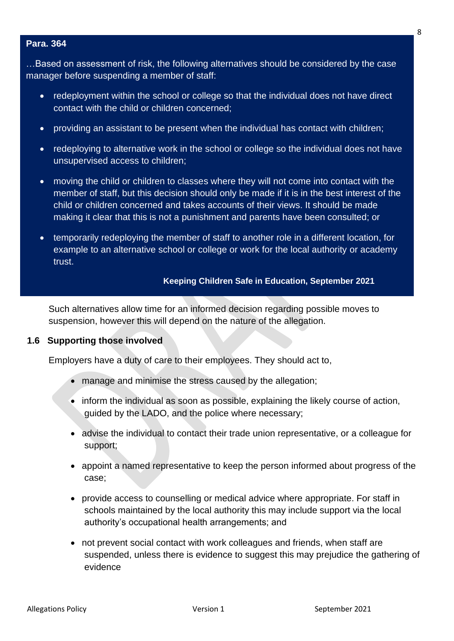#### **Para. 364**

…Based on assessment of risk, the following alternatives should be considered by the case manager before suspending a member of staff:

- redeployment within the school or college so that the individual does not have direct contact with the child or children concerned;
- providing an assistant to be present when the individual has contact with children;
- redeploying to alternative work in the school or college so the individual does not have unsupervised access to children;
- moving the child or children to classes where they will not come into contact with the member of staff, but this decision should only be made if it is in the best interest of the child or children concerned and takes accounts of their views. It should be made making it clear that this is not a punishment and parents have been consulted; or
- temporarily redeploying the member of staff to another role in a different location, for example to an alternative school or college or work for the local authority or academy trust.

#### **Keeping Children Safe in Education, September 2021**

Such alternatives allow time for an informed decision regarding possible moves to suspension, however this will depend on the nature of the allegation.

#### **1.6 Supporting those involved**

Employers have a duty of care to their employees. They should act to,

- manage and minimise the stress caused by the allegation;
- inform the individual as soon as possible, explaining the likely course of action, guided by the LADO, and the police where necessary;
- advise the individual to contact their trade union representative, or a colleague for support;
- appoint a named representative to keep the person informed about progress of the case;
- provide access to counselling or medical advice where appropriate. For staff in schools maintained by the local authority this may include support via the local authority's occupational health arrangements; and
- not prevent social contact with work colleagues and friends, when staff are suspended, unless there is evidence to suggest this may prejudice the gathering of evidence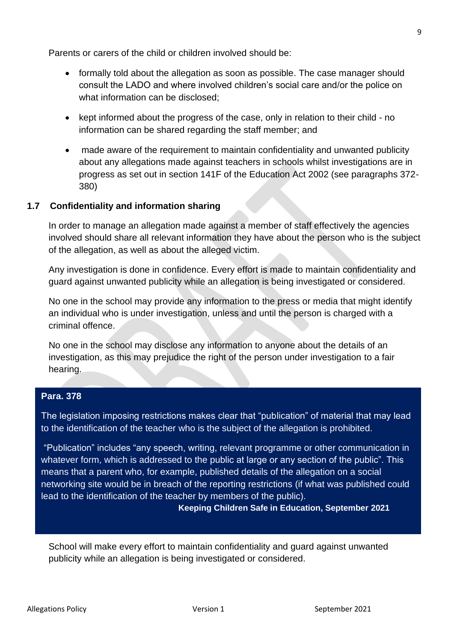Parents or carers of the child or children involved should be:

- formally told about the allegation as soon as possible. The case manager should consult the LADO and where involved children's social care and/or the police on what information can be disclosed;
- kept informed about the progress of the case, only in relation to their child no information can be shared regarding the staff member; and
- made aware of the requirement to maintain confidentiality and unwanted publicity about any allegations made against teachers in schools whilst investigations are in progress as set out in section 141F of the Education Act 2002 (see paragraphs 372- 380)

## **1.7 Confidentiality and information sharing**

In order to manage an allegation made against a member of staff effectively the agencies involved should share all relevant information they have about the person who is the subject of the allegation, as well as about the alleged victim.

Any investigation is done in confidence. Every effort is made to maintain confidentiality and guard against unwanted publicity while an allegation is being investigated or considered.

No one in the school may provide any information to the press or media that might identify an individual who is under investigation, unless and until the person is charged with a criminal offence.

No one in the school may disclose any information to anyone about the details of an investigation, as this may prejudice the right of the person under investigation to a fair hearing.

#### **Para. 378**

The legislation imposing restrictions makes clear that "publication" of material that may lead to the identification of the teacher who is the subject of the allegation is prohibited.

"Publication" includes "any speech, writing, relevant programme or other communication in whatever form, which is addressed to the public at large or any section of the public". This means that a parent who, for example, published details of the allegation on a social networking site would be in breach of the reporting restrictions (if what was published could lead to the identification of the teacher by members of the public).

**Keeping Children Safe in Education, September 2021**

School will make every effort to maintain confidentiality and guard against unwanted publicity while an allegation is being investigated or considered.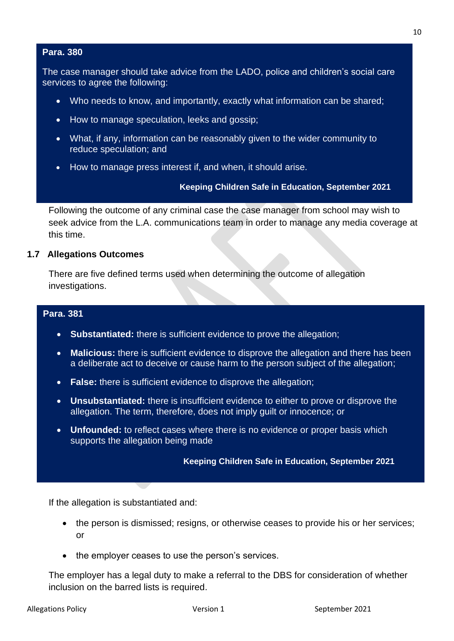#### **Para. 380**

The case manager should take advice from the LADO, police and children's social care services to agree the following:

- Who needs to know, and importantly, exactly what information can be shared;
- How to manage speculation, leeks and gossip;
- What, if any, information can be reasonably given to the wider community to reduce speculation; and
- How to manage press interest if, and when, it should arise.

#### **Keeping Children Safe in Education, September 2021**

Following the outcome of any criminal case the case manager from school may wish to seek advice from the L.A. communications team in order to manage any media coverage at this time.

#### **1.7 Allegations Outcomes**

There are five defined terms used when determining the outcome of allegation investigations.

#### **Para. 381**

- **Substantiated:** there is sufficient evidence to prove the allegation;
- **Malicious:** there is sufficient evidence to disprove the allegation and there has been a deliberate act to deceive or cause harm to the person subject of the allegation;
- **False:** there is sufficient evidence to disprove the allegation;
- **Unsubstantiated:** there is insufficient evidence to either to prove or disprove the allegation. The term, therefore, does not imply guilt or innocence; or
- **Unfounded:** to reflect cases where there is no evidence or proper basis which supports the allegation being made

#### **Keeping Children Safe in Education, September 2021**

If the allegation is substantiated and:

- the person is dismissed; resigns, or otherwise ceases to provide his or her services; or
- the employer ceases to use the person's services.

The employer has a legal duty to make a referral to the DBS for consideration of whether inclusion on the barred lists is required.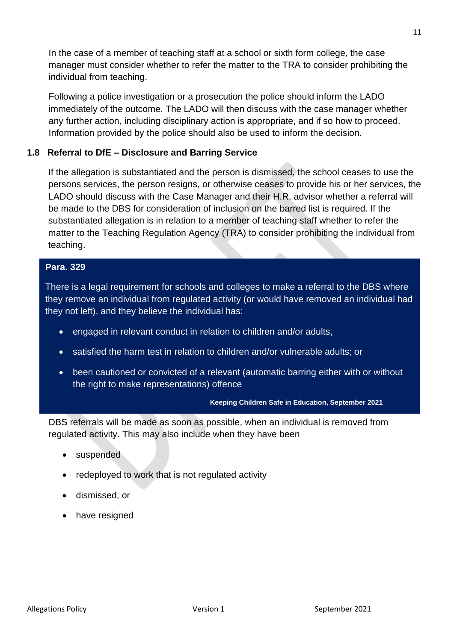In the case of a member of teaching staff at a school or sixth form college, the case manager must consider whether to refer the matter to the TRA to consider prohibiting the individual from teaching.

Following a police investigation or a prosecution the police should inform the LADO immediately of the outcome. The LADO will then discuss with the case manager whether any further action, including disciplinary action is appropriate, and if so how to proceed. Information provided by the police should also be used to inform the decision.

## **1.8 Referral to DfE – Disclosure and Barring Service**

If the allegation is substantiated and the person is dismissed, the school ceases to use the persons services, the person resigns, or otherwise ceases to provide his or her services, the LADO should discuss with the Case Manager and their H.R. advisor whether a referral will be made to the DBS for consideration of inclusion on the barred list is required. If the substantiated allegation is in relation to a member of teaching staff whether to refer the matter to the Teaching Regulation Agency (TRA) to consider prohibiting the individual from teaching.

## **Para. 329**

There is a legal requirement for schools and colleges to make a referral to the DBS where they remove an individual from regulated activity (or would have removed an individual had they not left), and they believe the individual has:

- engaged in relevant conduct in relation to children and/or adults,
- satisfied the harm test in relation to children and/or vulnerable adults; or
- been cautioned or convicted of a relevant (automatic barring either with or without the right to make representations) offence

#### **Keeping Children Safe in Education, September 2021**

DBS referrals will be made as soon as possible, when an individual is removed from regulated activity. This may also include when they have been

- suspended
- redeployed to work that is not regulated activity
- dismissed, or
- have resigned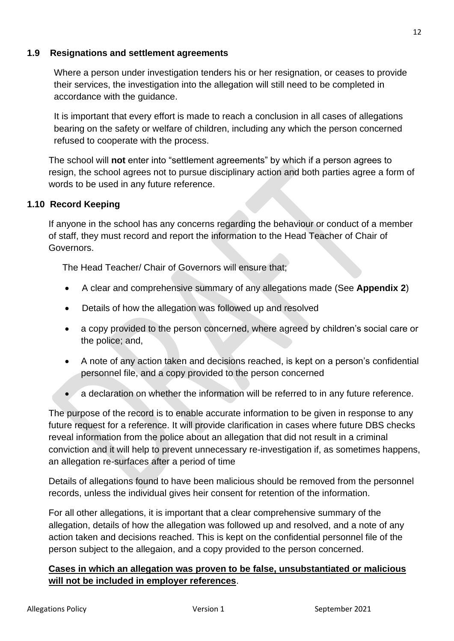## **1.9 Resignations and settlement agreements**

Where a person under investigation tenders his or her resignation, or ceases to provide their services, the investigation into the allegation will still need to be completed in accordance with the guidance.

It is important that every effort is made to reach a conclusion in all cases of allegations bearing on the safety or welfare of children, including any which the person concerned refused to cooperate with the process.

The school will **not** enter into "settlement agreements" by which if a person agrees to resign, the school agrees not to pursue disciplinary action and both parties agree a form of words to be used in any future reference.

## **1.10 Record Keeping**

If anyone in the school has any concerns regarding the behaviour or conduct of a member of staff, they must record and report the information to the Head Teacher of Chair of Governors.

The Head Teacher/ Chair of Governors will ensure that;

- A clear and comprehensive summary of any allegations made (See **Appendix 2**)
- Details of how the allegation was followed up and resolved
- a copy provided to the person concerned, where agreed by children's social care or the police; and,
- A note of any action taken and decisions reached, is kept on a person's confidential personnel file, and a copy provided to the person concerned
- a declaration on whether the information will be referred to in any future reference.

The purpose of the record is to enable accurate information to be given in response to any future request for a reference. It will provide clarification in cases where future DBS checks reveal information from the police about an allegation that did not result in a criminal conviction and it will help to prevent unnecessary re-investigation if, as sometimes happens, an allegation re-surfaces after a period of time

Details of allegations found to have been malicious should be removed from the personnel records, unless the individual gives heir consent for retention of the information.

For all other allegations, it is important that a clear comprehensive summary of the allegation, details of how the allegation was followed up and resolved, and a note of any action taken and decisions reached. This is kept on the confidential personnel file of the person subject to the allegaion, and a copy provided to the person concerned.

## **Cases in which an allegation was proven to be false, unsubstantiated or malicious will not be included in employer references**.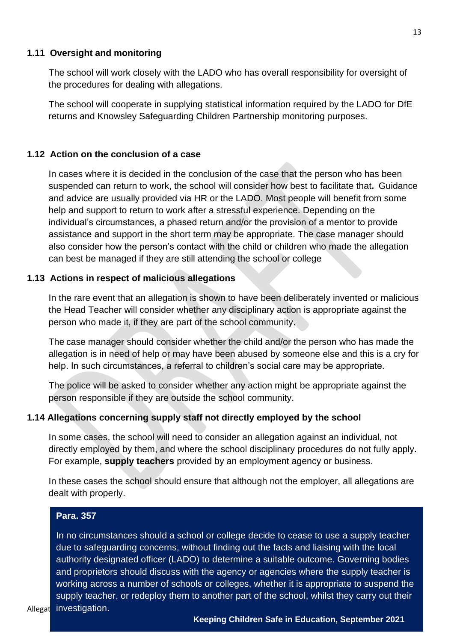#### **1.11 Oversight and monitoring**

The school will work closely with the LADO who has overall responsibility for oversight of the procedures for dealing with allegations.

The school will cooperate in supplying statistical information required by the LADO for DfE returns and Knowsley Safeguarding Children Partnership monitoring purposes.

#### **1.12 Action on the conclusion of a case**

In cases where it is decided in the conclusion of the case that the person who has been suspended can return to work, the school will consider how best to facilitate that**.** Guidance and advice are usually provided via HR or the LADO. Most people will benefit from some help and support to return to work after a stressful experience. Depending on the individual's circumstances, a phased return and/or the provision of a mentor to provide assistance and support in the short term may be appropriate. The case manager should also consider how the person's contact with the child or children who made the allegation can best be managed if they are still attending the school or college

#### **1.13 Actions in respect of malicious allegations**

In the rare event that an allegation is shown to have been deliberately invented or malicious the Head Teacher will consider whether any disciplinary action is appropriate against the person who made it, if they are part of the school community.

The case manager should consider whether the child and/or the person who has made the allegation is in need of help or may have been abused by someone else and this is a cry for help. In such circumstances, a referral to children's social care may be appropriate.

The police will be asked to consider whether any action might be appropriate against the person responsible if they are outside the school community.

#### **1.14 Allegations concerning supply staff not directly employed by the school**

In some cases, the school will need to consider an allegation against an individual, not directly employed by them, and where the school disciplinary procedures do not fully apply. For example, **supply teachers** provided by an employment agency or business.

In these cases the school should ensure that although not the employer, all allegations are dealt with properly.

#### **Para. 357**

Allegation Vestigation. The contract of the contract of the contract of the contract of the contract of the co In no circumstances should a school or college decide to cease to use a supply teacher due to safeguarding concerns, without finding out the facts and liaising with the local authority designated officer (LADO) to determine a suitable outcome. Governing bodies and proprietors should discuss with the agency or agencies where the supply teacher is working across a number of schools or colleges, whether it is appropriate to suspend the supply teacher, or redeploy them to another part of the school, whilst they carry out their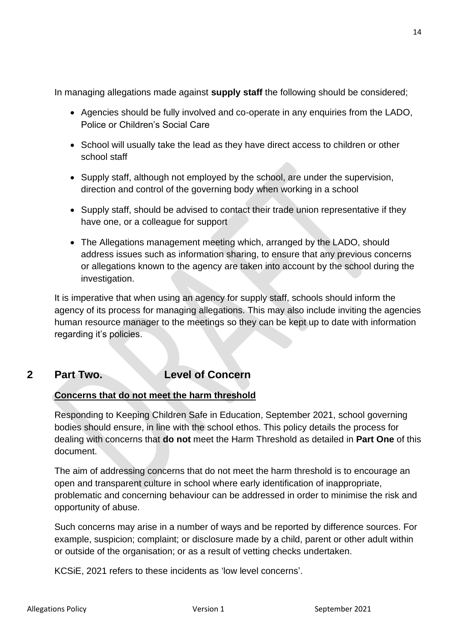In managing allegations made against **supply staff** the following should be considered;

- Agencies should be fully involved and co-operate in any enquiries from the LADO, Police or Children's Social Care
- School will usually take the lead as they have direct access to children or other school staff
- Supply staff, although not employed by the school, are under the supervision, direction and control of the governing body when working in a school
- Supply staff, should be advised to contact their trade union representative if they have one, or a colleague for support
- The Allegations management meeting which, arranged by the LADO, should address issues such as information sharing, to ensure that any previous concerns or allegations known to the agency are taken into account by the school during the investigation.

It is imperative that when using an agency for supply staff, schools should inform the agency of its process for managing allegations. This may also include inviting the agencies human resource manager to the meetings so they can be kept up to date with information regarding it's policies.

## **2 Part Two. Level of Concern**

## **Concerns that do not meet the harm threshold**

Responding to Keeping Children Safe in Education, September 2021, school governing bodies should ensure, in line with the school ethos. This policy details the process for dealing with concerns that **do not** meet the Harm Threshold as detailed in **Part One** of this document.

The aim of addressing concerns that do not meet the harm threshold is to encourage an open and transparent culture in school where early identification of inappropriate, problematic and concerning behaviour can be addressed in order to minimise the risk and opportunity of abuse.

Such concerns may arise in a number of ways and be reported by difference sources. For example, suspicion; complaint; or disclosure made by a child, parent or other adult within or outside of the organisation; or as a result of vetting checks undertaken.

KCSiE, 2021 refers to these incidents as 'low level concerns'.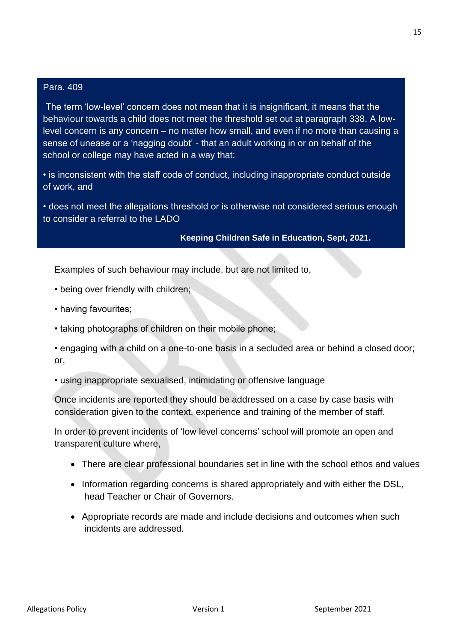#### Para. 409

The term 'low-level' concern does not mean that it is insignificant, it means that the behaviour towards a child does not meet the threshold set out at paragraph 338. A lowlevel concern is any concern – no matter how small, and even if no more than causing a sense of unease or a 'nagging doubt' - that an adult working in or on behalf of the school or college may have acted in a way that:

• is inconsistent with the staff code of conduct, including inappropriate conduct outside of work, and

• does not meet the allegations threshold or is otherwise not considered serious enough to consider a referral to the LADO

#### **Keeping Children Safe in Education, Sept, 2021.**

Examples of such behaviour may include, but are not limited to,

- being over friendly with children;
- having favourites;
- taking photographs of children on their mobile phone;

• engaging with a child on a one-to-one basis in a secluded area or behind a closed door; or,

• using inappropriate sexualised, intimidating or offensive language

Once incidents are reported they should be addressed on a case by case basis with consideration given to the context, experience and training of the member of staff.

In order to prevent incidents of 'low level concerns' school will promote an open and transparent culture where,

- There are clear professional boundaries set in line with the school ethos and values
- Information regarding concerns is shared appropriately and with either the DSL, head Teacher or Chair of Governors.
- Appropriate records are made and include decisions and outcomes when such incidents are addressed.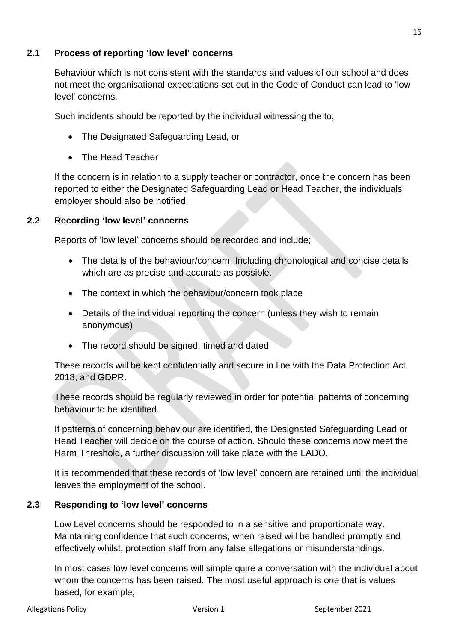## **2.1 Process of reporting 'low level' concerns**

Behaviour which is not consistent with the standards and values of our school and does not meet the organisational expectations set out in the Code of Conduct can lead to 'low level' concerns.

Such incidents should be reported by the individual witnessing the to;

- The Designated Safeguarding Lead, or
- The Head Teacher

If the concern is in relation to a supply teacher or contractor, once the concern has been reported to either the Designated Safeguarding Lead or Head Teacher, the individuals employer should also be notified.

## **2.2 Recording 'low level' concerns**

Reports of 'low level' concerns should be recorded and include;

- The details of the behaviour/concern. Including chronological and concise details which are as precise and accurate as possible.
- The context in which the behaviour/concern took place
- Details of the individual reporting the concern (unless they wish to remain anonymous)
- The record should be signed, timed and dated

These records will be kept confidentially and secure in line with the Data Protection Act 2018, and GDPR.

These records should be regularly reviewed in order for potential patterns of concerning behaviour to be identified.

If patterns of concerning behaviour are identified, the Designated Safeguarding Lead or Head Teacher will decide on the course of action. Should these concerns now meet the Harm Threshold, a further discussion will take place with the LADO.

It is recommended that these records of 'low level' concern are retained until the individual leaves the employment of the school.

## **2.3 Responding to 'low level' concerns**

Low Level concerns should be responded to in a sensitive and proportionate way. Maintaining confidence that such concerns, when raised will be handled promptly and effectively whilst, protection staff from any false allegations or misunderstandings.

In most cases low level concerns will simple quire a conversation with the individual about whom the concerns has been raised. The most useful approach is one that is values based, for example,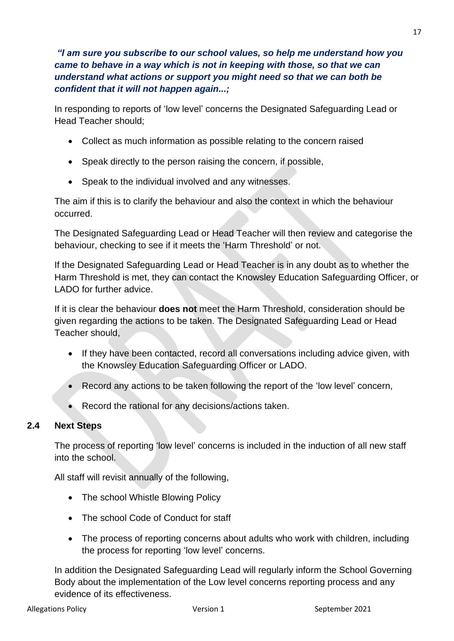*"I am sure you subscribe to our school values, so help me understand how you came to behave in a way which is not in keeping with those, so that we can understand what actions or support you might need so that we can both be confident that it will not happen again...;*

In responding to reports of 'low level' concerns the Designated Safeguarding Lead or Head Teacher should;

- Collect as much information as possible relating to the concern raised
- Speak directly to the person raising the concern, if possible,
- Speak to the individual involved and any witnesses.

The aim if this is to clarify the behaviour and also the context in which the behaviour occurred.

The Designated Safeguarding Lead or Head Teacher will then review and categorise the behaviour, checking to see if it meets the 'Harm Threshold' or not.

If the Designated Safeguarding Lead or Head Teacher is in any doubt as to whether the Harm Threshold is met, they can contact the Knowsley Education Safeguarding Officer, or LADO for further advice.

If it is clear the behaviour **does not** meet the Harm Threshold, consideration should be given regarding the actions to be taken. The Designated Safeguarding Lead or Head Teacher should,

- If they have been contacted, record all conversations including advice given, with the Knowsley Education Safeguarding Officer or LADO.
- Record any actions to be taken following the report of the 'low level' concern,
- Record the rational for any decisions/actions taken.

## **2.4 Next Steps**

The process of reporting 'low level' concerns is included in the induction of all new staff into the school.

All staff will revisit annually of the following,

- The school Whistle Blowing Policy
- The school Code of Conduct for staff
- The process of reporting concerns about adults who work with children, including the process for reporting 'low level' concerns.

In addition the Designated Safeguarding Lead will regularly inform the School Governing Body about the implementation of the Low level concerns reporting process and any evidence of its effectiveness.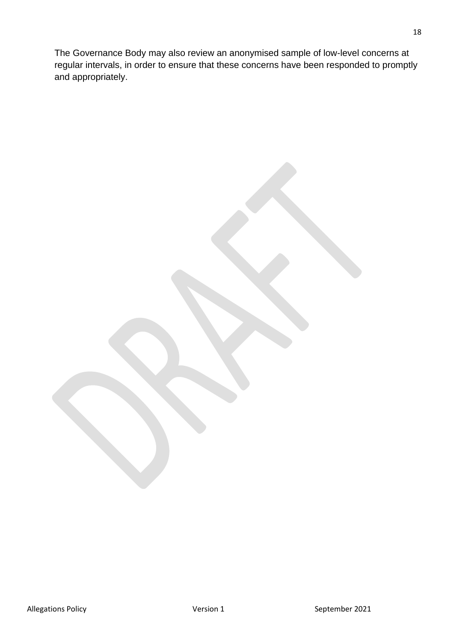The Governance Body may also review an anonymised sample of low-level concerns at regular intervals, in order to ensure that these concerns have been responded to promptly and appropriately.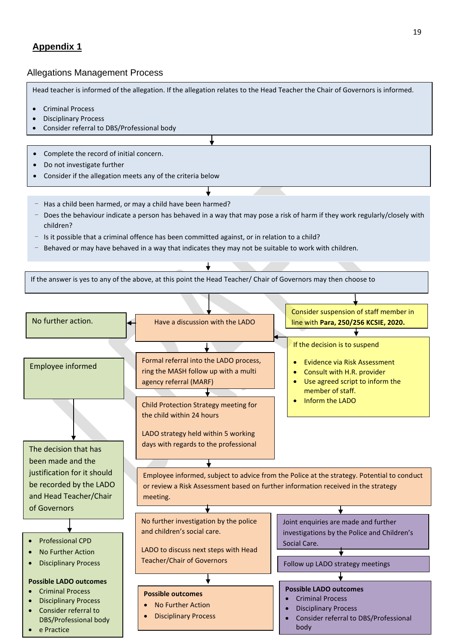## **Appendix 1**

#### Allegations Management Process

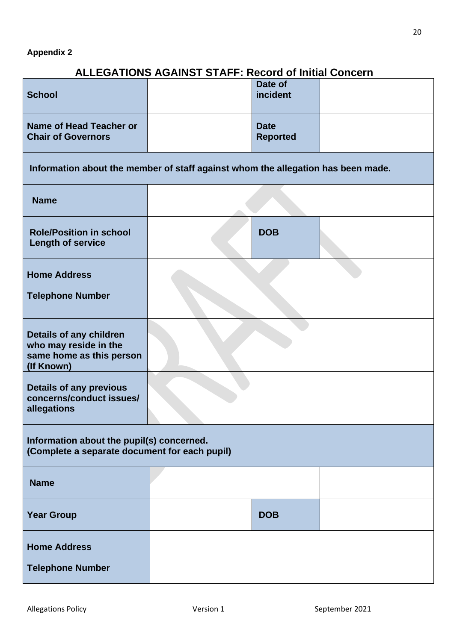## **ALLEGATIONS AGAINST STAFF: Record of Initial Concern**

| <b>School</b>                                                                              |  | Date of<br>incident            |  |  |  |
|--------------------------------------------------------------------------------------------|--|--------------------------------|--|--|--|
| Name of Head Teacher or<br><b>Chair of Governors</b>                                       |  | <b>Date</b><br><b>Reported</b> |  |  |  |
| Information about the member of staff against whom the allegation has been made.           |  |                                |  |  |  |
| <b>Name</b>                                                                                |  |                                |  |  |  |
| <b>Role/Position in school</b><br><b>Length of service</b>                                 |  | <b>DOB</b>                     |  |  |  |
| <b>Home Address</b><br><b>Telephone Number</b>                                             |  |                                |  |  |  |
|                                                                                            |  |                                |  |  |  |
| Details of any children<br>who may reside in the<br>same home as this person<br>(If Known) |  |                                |  |  |  |
| <b>Details of any previous</b><br>concerns/conduct issues/<br>allegations                  |  |                                |  |  |  |
| Information about the pupil(s) concerned.<br>(Complete a separate document for each pupil) |  |                                |  |  |  |
| <b>Name</b>                                                                                |  |                                |  |  |  |
| <b>Year Group</b>                                                                          |  | <b>DOB</b>                     |  |  |  |
| <b>Home Address</b>                                                                        |  |                                |  |  |  |
| <b>Telephone Number</b>                                                                    |  |                                |  |  |  |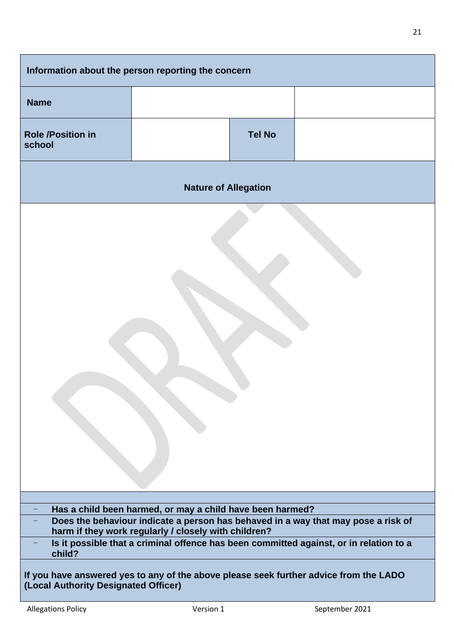| Information about the person reporting the concern                                                                                             |  |               |  |  |  |
|------------------------------------------------------------------------------------------------------------------------------------------------|--|---------------|--|--|--|
| <b>Name</b>                                                                                                                                    |  |               |  |  |  |
| <b>Role /Position in</b><br>school                                                                                                             |  | <b>Tel No</b> |  |  |  |
| <b>Nature of Allegation</b>                                                                                                                    |  |               |  |  |  |
|                                                                                                                                                |  |               |  |  |  |
| Has a child been harmed, or may a child have been harmed?<br>Does the behaviour indicate a person has behaved in a way that may pose a risk of |  |               |  |  |  |
| harm if they work regularly / closely with children?<br>Is it possible that a criminal offence has been committed against, or in relation to a |  |               |  |  |  |
| child?                                                                                                                                         |  |               |  |  |  |
| If you have answered yes to any of the above please seek further advice from the LADO<br>(Local Authority Designated Officer)                  |  |               |  |  |  |